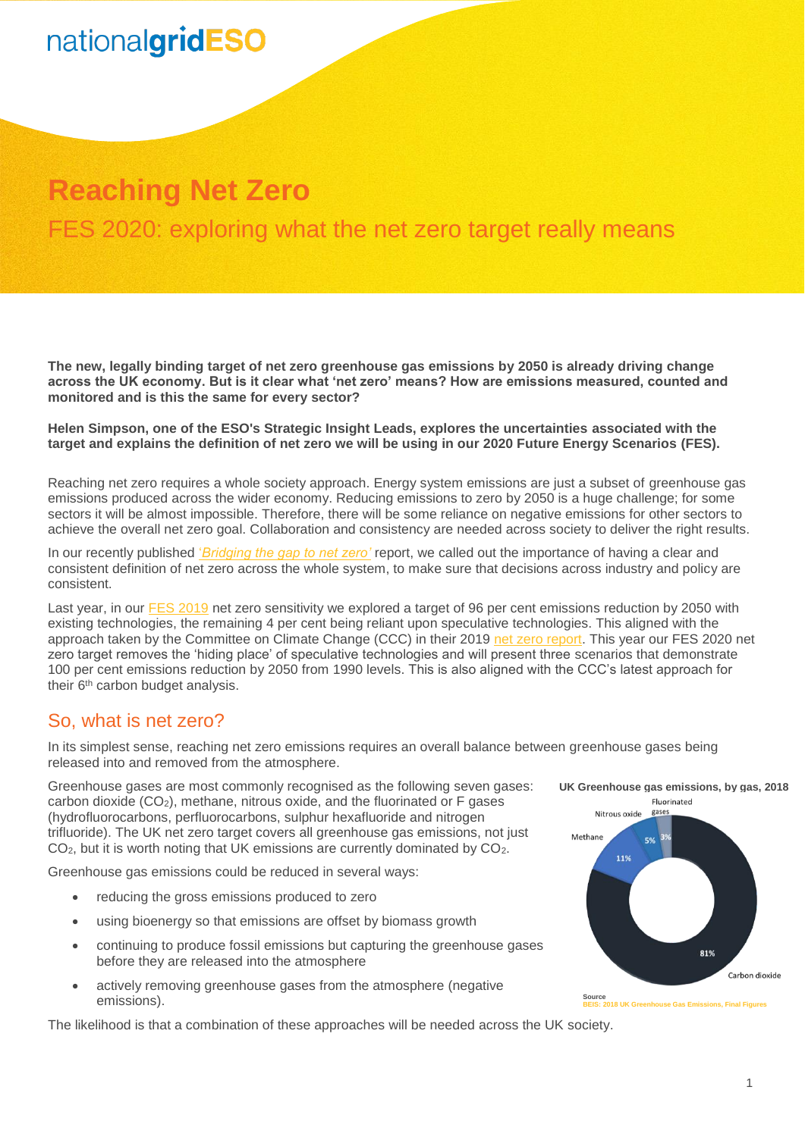### **Reaching Net Zero**

FES 2020: exploring what the net zero target really means

**The new, legally binding target of net zero greenhouse gas emissions by 2050 is already driving change across the UK economy. But is it clear what 'net zero' means? How are emissions measured, counted and monitored and is this the same for every sector?**

**Helen Simpson, one of the ESO's Strategic Insight Leads, explores the uncertainties associated with the target and explains the definition of net zero we will be using in our 2020 Future Energy Scenarios (FES).**

Reaching net zero requires a whole society approach. Energy system emissions are just a subset of greenhouse gas emissions produced across the wider economy. Reducing emissions to zero by 2050 is a huge challenge; for some sectors it will be almost impossible. Therefore, there will be some reliance on negative emissions for other sectors to achieve the overall net zero goal. Collaboration and consistency are needed across society to deliver the right results.

In our recently published '*[Bridging the gap to net zero'](https://www.nationalgrideso.com/document/166306/download)* report, we called out the importance of having a clear and consistent definition of net zero across the whole system, to make sure that decisions across industry and policy are consistent.

Last year, in our [FES 2019](http://fes.nationalgrid.com/media/1409/fes-2019.pdf) net zero sensitivity we explored a target of 96 per cent emissions reduction by 2050 with existing technologies, the remaining 4 per cent being reliant upon speculative technologies. This aligned with the approach taken by the Committee on Climate Change (CCC) in their 2019 [net zero report.](https://www.theccc.org.uk/publication/net-zero-the-uks-contribution-to-stopping-global-warming/) This year our FES 2020 net zero target removes the 'hiding place' of speculative technologies and will present three scenarios that demonstrate 100 per cent emissions reduction by 2050 from 1990 levels. This is also aligned with the CCC's latest approach for their 6<sup>th</sup> carbon budget analysis.

### So, what is net zero?

In its simplest sense, reaching net zero emissions requires an overall balance between greenhouse gases being released into and removed from the atmosphere.

Greenhouse gases are most commonly recognised as the following seven gases: carbon dioxide  $(CO<sub>2</sub>)$ , methane, nitrous oxide, and the fluorinated or F gases (hydrofluorocarbons, perfluorocarbons, sulphur hexafluoride and nitrogen trifluoride). The UK net zero target covers all greenhouse gas emissions, not just CO2, but it is worth noting that UK emissions are currently dominated by CO2.

Greenhouse gas emissions could be reduced in several ways:

- reducing the gross emissions produced to zero
- using bioenergy so that emissions are offset by biomass growth
- continuing to produce fossil emissions but capturing the greenhouse gases before they are released into the atmosphere
- actively removing greenhouse gases from the atmosphere (negative emissions).

The likelihood is that a combination of these approaches will be needed across the UK society.



**Source BEIS: 2018 [UK Greenhouse Gas Emissions, Final Figures](https://assets.publishing.service.gov.uk/government/uploads/system/uploads/attachment_data/file/862887/2018_Final_greenhouse_gas_emissions_statistical_release.pdf)**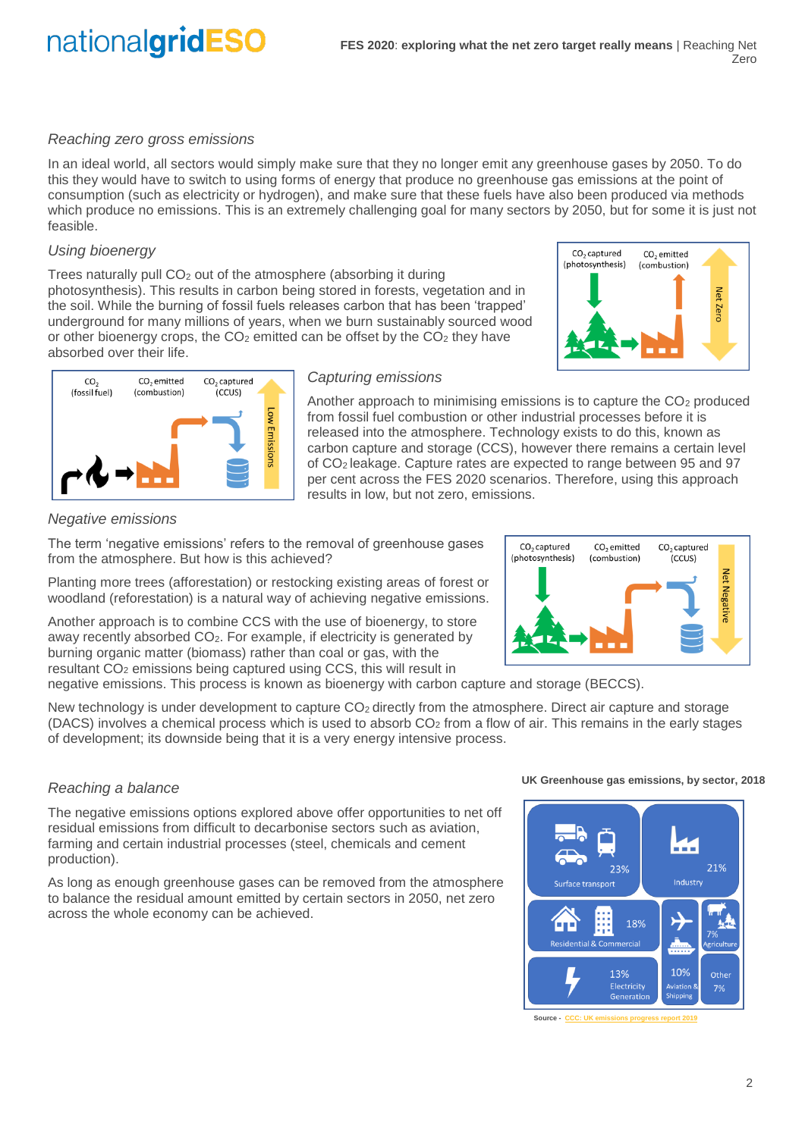#### *Reaching zero gross emissions*

In an ideal world, all sectors would simply make sure that they no longer emit any greenhouse gases by 2050. To do this they would have to switch to using forms of energy that produce no greenhouse gas emissions at the point of consumption (such as electricity or hydrogen), and make sure that these fuels have also been produced via methods which produce no emissions. This is an extremely challenging goal for many sectors by 2050, but for some it is just not feasible.

#### *Using bioenergy*

Trees naturally pull  $CO<sub>2</sub>$  out of the atmosphere (absorbing it during photosynthesis). This results in carbon being stored in forests, vegetation and in the soil. While the burning of fossil fuels releases carbon that has been 'trapped' underground for many millions of years, when we burn sustainably sourced wood or other bioenergy crops, the  $CO<sub>2</sub>$  emitted can be offset by the  $CO<sub>2</sub>$  they have absorbed over their life.





#### *Capturing emissions*

Another approach to minimising emissions is to capture the  $CO<sub>2</sub>$  produced from fossil fuel combustion or other industrial processes before it is released into the atmosphere. Technology exists to do this, known as carbon capture and storage (CCS), however there remains a certain level of CO<sup>2</sup> leakage. Capture rates are expected to range between 95 and 97 per cent across the FES 2020 scenarios. Therefore, using this approach results in low, but not zero, emissions.

#### *Negative emissions*

The term 'negative emissions' refers to the removal of greenhouse gases from the atmosphere. But how is this achieved?

Planting more trees (afforestation) or restocking existing areas of forest or woodland (reforestation) is a natural way of achieving negative emissions.

Another approach is to combine CCS with the use of bioenergy, to store away recently absorbed CO2. For example, if electricity is generated by burning organic matter (biomass) rather than coal or gas, with the resultant CO<sub>2</sub> emissions being captured using CCS, this will result in

negative emissions. This process is known as bioenergy with carbon capture and storage (BECCS).

New technology is under development to capture CO<sub>2</sub> directly from the atmosphere. Direct air capture and storage (DACS) involves a chemical process which is used to absorb  $CO<sub>2</sub>$  from a flow of air. This remains in the early stages of development; its downside being that it is a very energy intensive process.

#### *Reaching a balance*

The negative emissions options explored above offer opportunities to net off residual emissions from difficult to decarbonise sectors such as aviation, farming and certain industrial processes (steel, chemicals and cement production).

As long as enough greenhouse gases can be removed from the atmosphere to balance the residual amount emitted by certain sectors in 2050, net zero across the whole economy can be achieved.

**UK Greenhouse gas emissions, by sector, 2018**



Source - CCC: UK

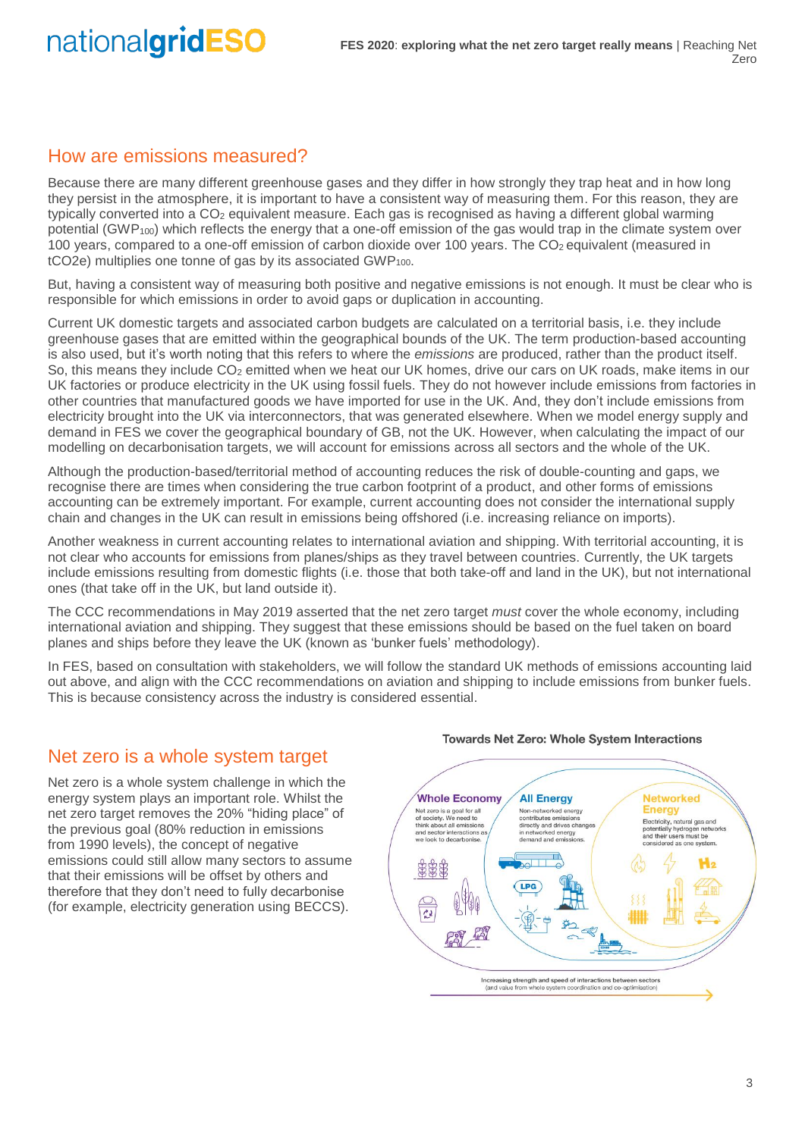### How are emissions measured?

Because there are many different greenhouse gases and they differ in how strongly they trap heat and in how long they persist in the atmosphere, it is important to have a consistent way of measuring them. For this reason, they are typically converted into a CO<sup>2</sup> equivalent measure. Each gas is recognised as having a different global warming potential (GWP<sub>100</sub>) which reflects the energy that a one-off emission of the gas would trap in the climate system over 100 years, compared to a one-off emission of carbon dioxide over 100 years. The  $CO<sub>2</sub>$  equivalent (measured in tCO2e) multiplies one tonne of gas by its associated GWP<sub>100</sub>.

But, having a consistent way of measuring both positive and negative emissions is not enough. It must be clear who is responsible for which emissions in order to avoid gaps or duplication in accounting.

Current UK domestic targets and associated carbon budgets are calculated on a territorial basis, i.e. they include greenhouse gases that are emitted within the geographical bounds of the UK. The term production-based accounting is also used, but it's worth noting that this refers to where the *emissions* are produced, rather than the product itself. So, this means they include CO<sub>2</sub> emitted when we heat our UK homes, drive our cars on UK roads, make items in our UK factories or produce electricity in the UK using fossil fuels. They do not however include emissions from factories in other countries that manufactured goods we have imported for use in the UK. And, they don't include emissions from electricity brought into the UK via interconnectors, that was generated elsewhere. When we model energy supply and demand in FES we cover the geographical boundary of GB, not the UK. However, when calculating the impact of our modelling on decarbonisation targets, we will account for emissions across all sectors and the whole of the UK.

Although the production-based/territorial method of accounting reduces the risk of double-counting and gaps, we recognise there are times when considering the true carbon footprint of a product, and other forms of emissions accounting can be extremely important. For example, current accounting does not consider the international supply chain and changes in the UK can result in emissions being offshored (i.e. increasing reliance on imports).

Another weakness in current accounting relates to international aviation and shipping. With territorial accounting, it is not clear who accounts for emissions from planes/ships as they travel between countries. Currently, the UK targets include emissions resulting from domestic flights (i.e. those that both take-off and land in the UK), but not international ones (that take off in the UK, but land outside it).

The CCC recommendations in May 2019 asserted that the net zero target *must* cover the whole economy, including international aviation and shipping. They suggest that these emissions should be based on the fuel taken on board planes and ships before they leave the UK (known as 'bunker fuels' methodology).

In FES, based on consultation with stakeholders, we will follow the standard UK methods of emissions accounting laid out above, and align with the CCC recommendations on aviation and shipping to include emissions from bunker fuels. This is because consistency across the industry is considered essential.

### Net zero is a whole system target

Net zero is a whole system challenge in which the energy system plays an important role. Whilst the net zero target removes the 20% "hiding place" of the previous goal (80% reduction in emissions from 1990 levels), the concept of negative emissions could still allow many sectors to assume that their emissions will be offset by others and therefore that they don't need to fully decarbonise (for example, electricity generation using BECCS).



#### **Towards Net Zero: Whole System Interactions**